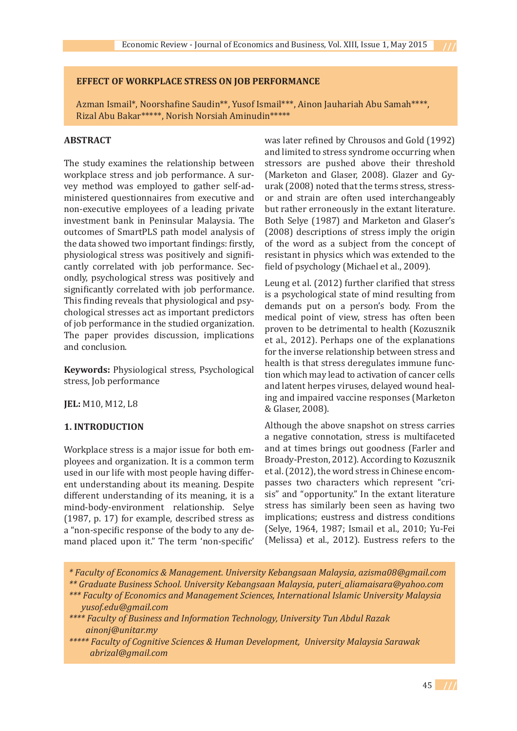#### **EFFECT OF WORKPLACE STRESS ON JOB PERFORMANCE**

Azman Ismail\*, Noorshafine Saudin\*\*, Yusof Ismail\*\*\*, Ainon Jauhariah Abu Samah\*\*\*\*, Rizal Abu Bakar\*\*\*\*\*, Norish Norsiah Aminudin\*\*\*\*\*

#### **ABSTRACT**

The study examines the relationship between workplace stress and job performance. A survey method was employed to gather self-administered questionnaires from executive and non-executive employees of a leading private investment bank in Peninsular Malaysia. The outcomes of SmartPLS path model analysis of the data showed two important findings: firstly, physiological stress was positively and significantly correlated with job performance. Secondly, psychological stress was positively and significantly correlated with job performance. This finding reveals that physiological and psychological stresses act as important predictors of job performance in the studied organization. The paper provides discussion, implications and conclusion.

**Keywords:** Physiological stress, Psychological stress, Job performance

**JEL:** M10, M12, L8

# **1. INTRODUCTION**

Workplace stress is a major issue for both employees and organization. It is a common term used in our life with most people having different understanding about its meaning. Despite different understanding of its meaning, it is a mind-body-environment relationship. Selye (1987, p. 17) for example, described stress as a "non-specific response of the body to any demand placed upon it." The term 'non-specific'

was later refined by Chrousos and Gold (1992) and limited to stress syndrome occurring when stressors are pushed above their threshold (Marketon and Glaser, 2008). Glazer and Gyurak (2008) noted that the terms stress, stressor and strain are often used interchangeably but rather erroneously in the extant literature. Both Selye (1987) and Marketon and Glaser's (2008) descriptions of stress imply the origin of the word as a subject from the concept of resistant in physics which was extended to the field of psychology (Michael et al., 2009).

Leung et al. (2012) further clarified that stress is a psychological state of mind resulting from demands put on a person's body. From the medical point of view, stress has often been proven to be detrimental to health (Kozusznik et al., 2012). Perhaps one of the explanations for the inverse relationship between stress and health is that stress deregulates immune function which may lead to activation of cancer cells and latent herpes viruses, delayed wound healing and impaired vaccine responses (Marketon & Glaser, 2008).

Although the above snapshot on stress carries a negative connotation, stress is multifaceted and at times brings out goodness (Farler and Broady-Preston, 2012). According to Kozusznik et al. (2012), the word stress in Chinese encompasses two characters which represent "crisis" and "opportunity." In the extant literature stress has similarly been seen as having two implications; eustress and distress conditions (Selye, 1964, 1987; Ismail et al., 2010; Yu-Fei (Melissa) et al., 2012). Eustress refers to the

- *\* Faculty of Economics & Management. University Kebangsaan Malaysia, azisma08@gmail.com*
- *\*\* Graduate Business School. University Kebangsaan Malaysia, puteri\_aliamaisara@yahoo.com \*\*\* Faculty of Economics and Management Sciences, International Islamic University Malaysia*
- *yusof.edu@gmail.com \*\*\*\* Faculty of Business and Information Technology, University Tun Abdul Razak*
- *ainonj@unitar.my \*\*\*\*\* Faculty of Cognitive Sciences & Human Development, University Malaysia Sarawak abrizal@gmail.com*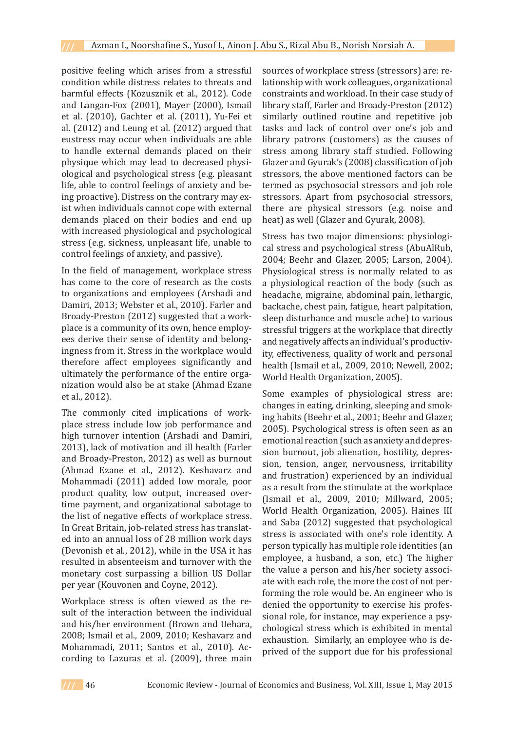positive feeling which arises from a stressful condition while distress relates to threats and harmful effects (Kozusznik et al., 2012). Code and Langan-Fox (2001), Mayer (2000), Ismail et al. (2010), Gachter et al. (2011), Yu-Fei et al. (2012) and Leung et al. (2012) argued that eustress may occur when individuals are able to handle external demands placed on their physique which may lead to decreased physiological and psychological stress (e.g. pleasant life, able to control feelings of anxiety and being proactive). Distress on the contrary may exist when individuals cannot cope with external demands placed on their bodies and end up with increased physiological and psychological stress (e.g. sickness, unpleasant life, unable to control feelings of anxiety, and passive).

In the field of management, workplace stress has come to the core of research as the costs to organizations and employees (Arshadi and Damiri, 2013; Webster et al., 2010). Farler and Broady-Preston (2012) suggested that a workplace is a community of its own, hence employees derive their sense of identity and belongingness from it. Stress in the workplace would therefore affect employees significantly and ultimately the performance of the entire organization would also be at stake (Ahmad Ezane et al., 2012).

The commonly cited implications of workplace stress include low job performance and high turnover intention (Arshadi and Damiri, 2013), lack of motivation and ill health (Farler and Broady-Preston, 2012) as well as burnout (Ahmad Ezane et al., 2012). Keshavarz and Mohammadi (2011) added low morale, poor product quality, low output, increased overtime payment, and organizational sabotage to the list of negative effects of workplace stress. In Great Britain, job-related stress has translated into an annual loss of 28 million work days (Devonish et al., 2012), while in the USA it has resulted in absenteeism and turnover with the monetary cost surpassing a billion US Dollar per year (Kouvonen and Coyne, 2012).

Workplace stress is often viewed as the result of the interaction between the individual and his/her environment (Brown and Uehara, 2008; Ismail et al., 2009, 2010; Keshavarz and Mohammadi, 2011; Santos et al., 2010). According to Lazuras et al. (2009), three main

sources of workplace stress (stressors) are: relationship with work colleagues, organizational constraints and workload. In their case study of library staff, Farler and Broady-Preston (2012) similarly outlined routine and repetitive job tasks and lack of control over one's job and library patrons (customers) as the causes of stress among library staff studied. Following Glazer and Gyurak's (2008) classification of job stressors, the above mentioned factors can be termed as psychosocial stressors and job role stressors. Apart from psychosocial stressors, there are physical stressors (e.g. noise and heat) as well (Glazer and Gyurak, 2008).

Stress has two major dimensions: physiological stress and psychological stress (AbuAlRub, 2004; Beehr and Glazer, 2005; Larson, 2004). Physiological stress is normally related to as a physiological reaction of the body (such as headache, migraine, abdominal pain, lethargic, backache, chest pain, fatigue, heart palpitation, sleep disturbance and muscle ache) to various stressful triggers at the workplace that directly and negatively affects an individual's productivity, effectiveness, quality of work and personal health (Ismail et al., 2009, 2010; Newell, 2002; World Health Organization, 2005).

Some examples of physiological stress are: changes in eating, drinking, sleeping and smoking habits (Beehr et al., 2001; Beehr and Glazer, 2005). Psychological stress is often seen as an emotional reaction (such as anxiety and depression burnout, job alienation, hostility, depression, tension, anger, nervousness, irritability and frustration) experienced by an individual as a result from the stimulate at the workplace (Ismail et al., 2009, 2010; Millward, 2005; World Health Organization, 2005). Haines III and Saba (2012) suggested that psychological stress is associated with one's role identity. A person typically has multiple role identities (an employee, a husband, a son, etc.) The higher the value a person and his/her society associate with each role, the more the cost of not performing the role would be. An engineer who is denied the opportunity to exercise his professional role, for instance, may experience a psychological stress which is exhibited in mental exhaustion. Similarly, an employee who is deprived of the support due for his professional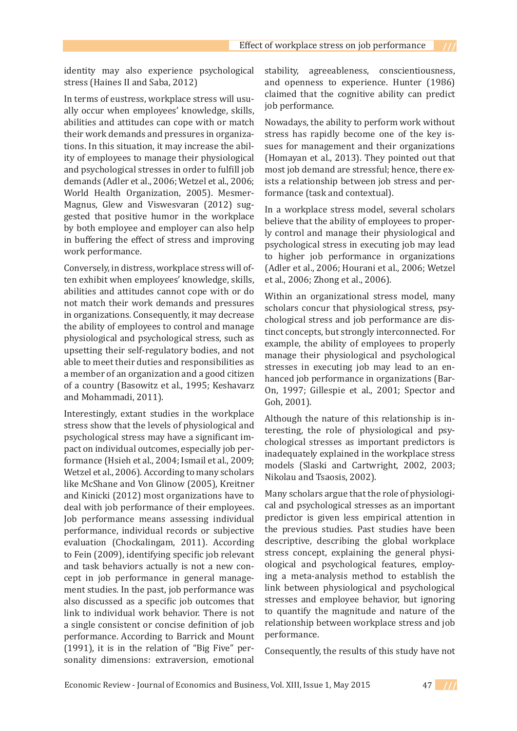identity may also experience psychological stress (Haines II and Saba, 2012)

In terms of eustress, workplace stress will usually occur when employees' knowledge, skills, abilities and attitudes can cope with or match their work demands and pressures in organizations. In this situation, it may increase the ability of employees to manage their physiological and psychological stresses in order to fulfill job demands (Adler et al., 2006; Wetzel et al., 2006; World Health Organization, 2005). Mesmer-Magnus, Glew and Viswesvaran (2012) suggested that positive humor in the workplace by both employee and employer can also help in buffering the effect of stress and improving work performance.

Conversely, in distress, workplace stress will often exhibit when employees' knowledge, skills, abilities and attitudes cannot cope with or do not match their work demands and pressures in organizations. Consequently, it may decrease the ability of employees to control and manage physiological and psychological stress, such as upsetting their self-regulatory bodies, and not able to meet their duties and responsibilities as a member of an organization and a good citizen of a country (Basowitz et al., 1995; Keshavarz and Mohammadi, 2011).

Interestingly, extant studies in the workplace stress show that the levels of physiological and psychological stress may have a significant impact on individual outcomes, especially job performance (Hsieh et al., 2004; Ismail et al., 2009; Wetzel et al., 2006). According to many scholars like McShane and Von Glinow (2005), Kreitner and Kinicki (2012) most organizations have to deal with job performance of their employees. Job performance means assessing individual performance, individual records or subjective evaluation (Chockalingam, 2011). According to Fein (2009), identifying specific job relevant and task behaviors actually is not a new concept in job performance in general management studies. In the past, job performance was also discussed as a specific job outcomes that link to individual work behavior. There is not a single consistent or concise definition of job performance. According to Barrick and Mount (1991), it is in the relation of "Big Five" personality dimensions: extraversion, emotional stability, agreeableness, conscientiousness, and openness to experience. Hunter (1986) claimed that the cognitive ability can predict job performance.

Nowadays, the ability to perform work without stress has rapidly become one of the key issues for management and their organizations (Homayan et al., 2013). They pointed out that most job demand are stressful; hence, there exists a relationship between job stress and performance (task and contextual).

In a workplace stress model, several scholars believe that the ability of employees to properly control and manage their physiological and psychological stress in executing job may lead to higher job performance in organizations (Adler et al., 2006; Hourani et al., 2006; Wetzel et al., 2006; Zhong et al., 2006).

Within an organizational stress model, many scholars concur that physiological stress, psychological stress and job performance are distinct concepts, but strongly interconnected. For example, the ability of employees to properly manage their physiological and psychological stresses in executing job may lead to an enhanced job performance in organizations (Bar-On, 1997; Gillespie et al., 2001; Spector and Goh, 2001).

Although the nature of this relationship is interesting, the role of physiological and psychological stresses as important predictors is inadequately explained in the workplace stress models (Slaski and Cartwright, 2002, 2003; Nikolau and Tsaosis, 2002).

Many scholars argue that the role of physiological and psychological stresses as an important predictor is given less empirical attention in the previous studies. Past studies have been descriptive, describing the global workplace stress concept, explaining the general physiological and psychological features, employing a meta-analysis method to establish the link between physiological and psychological stresses and employee behavior, but ignoring to quantify the magnitude and nature of the relationship between workplace stress and job performance.

Consequently, the results of this study have not

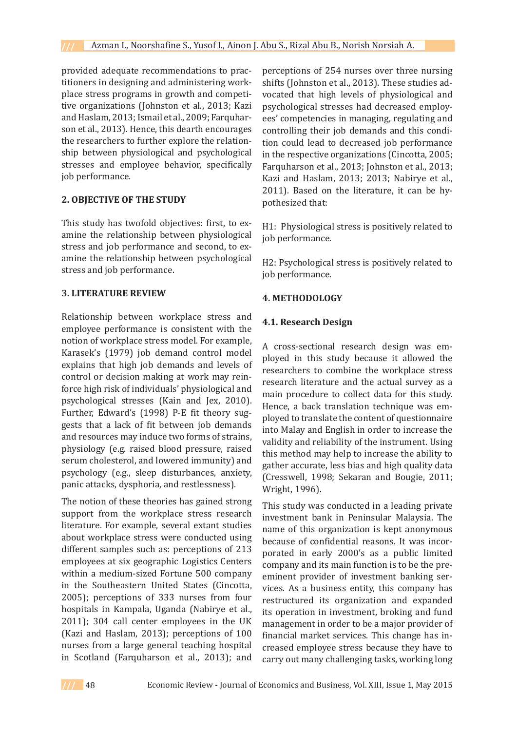provided adequate recommendations to practitioners in designing and administering workplace stress programs in growth and competitive organizations (Johnston et al., 2013; Kazi and Haslam, 2013; Ismail et al., 2009; Farquharson et al., 2013). Hence, this dearth encourages the researchers to further explore the relationship between physiological and psychological stresses and employee behavior, specifically job performance.

## **2. OBJECTIVE OF THE STUDY**

This study has twofold objectives: first, to examine the relationship between physiological stress and job performance and second, to examine the relationship between psychological stress and job performance.

## **3. LITERATURE REVIEW**

Relationship between workplace stress and employee performance is consistent with the notion of workplace stress model. For example, Karasek's (1979) job demand control model explains that high job demands and levels of control or decision making at work may reinforce high risk of individuals' physiological and psychological stresses (Kain and Jex, 2010). Further, Edward's (1998) P-E fit theory suggests that a lack of fit between job demands and resources may induce two forms of strains, physiology (e.g. raised blood pressure, raised serum cholesterol, and lowered immunity) and psychology (e.g., sleep disturbances, anxiety, panic attacks, dysphoria, and restlessness).

The notion of these theories has gained strong support from the workplace stress research literature. For example, several extant studies about workplace stress were conducted using different samples such as: perceptions of 213 employees at six geographic Logistics Centers within a medium-sized Fortune 500 company in the Southeastern United States (Cincotta, 2005); perceptions of 333 nurses from four hospitals in Kampala, Uganda (Nabirye et al., 2011); 304 call center employees in the UK (Kazi and Haslam, 2013); perceptions of 100 nurses from a large general teaching hospital in Scotland (Farquharson et al., 2013); and perceptions of 254 nurses over three nursing shifts (Johnston et al., 2013). These studies advocated that high levels of physiological and psychological stresses had decreased employees' competencies in managing, regulating and controlling their job demands and this condition could lead to decreased job performance in the respective organizations (Cincotta, 2005; Farquharson et al., 2013; Johnston et al., 2013; Kazi and Haslam, 2013; 2013; Nabirye et al., 2011). Based on the literature, it can be hypothesized that:

H1: Physiological stress is positively related to job performance.

H2: Psychological stress is positively related to job performance.

# **4. METHODOLOGY**

# **4.1. Research Design**

A cross-sectional research design was employed in this study because it allowed the researchers to combine the workplace stress research literature and the actual survey as a main procedure to collect data for this study. Hence, a back translation technique was employed to translate the content of questionnaire into Malay and English in order to increase the validity and reliability of the instrument. Using this method may help to increase the ability to gather accurate, less bias and high quality data (Cresswell, 1998; Sekaran and Bougie, 2011; Wright, 1996).

This study was conducted in a leading private investment bank in Peninsular Malaysia. The name of this organization is kept anonymous because of confidential reasons. It was incorporated in early 2000's as a public limited company and its main function is to be the preeminent provider of investment banking services. As a business entity, this company has restructured its organization and expanded its operation in investment, broking and fund management in order to be a major provider of financial market services. This change has increased employee stress because they have to carry out many challenging tasks, working long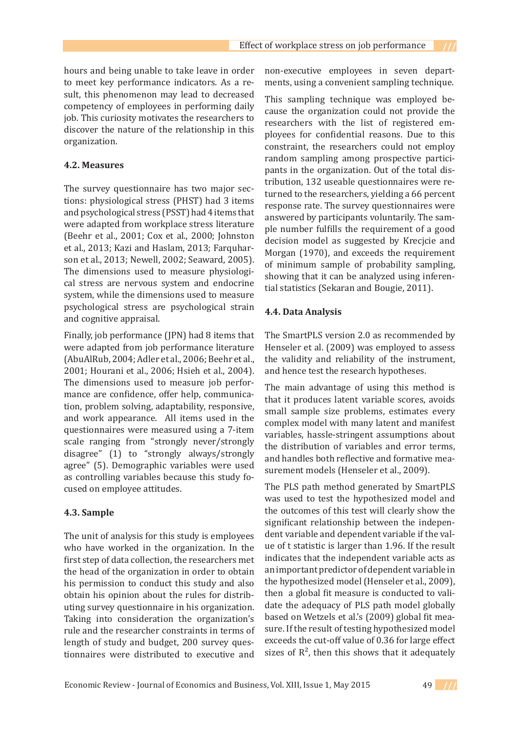hours and being unable to take leave in order to meet key performance indicators. As a result, this phenomenon may lead to decreased competency of employees in performing daily job. This curiosity motivates the researchers to discover the nature of the relationship in this organization.

#### **4.2. Measures**

The survey questionnaire has two major sections: physiological stress (PHST) had 3 items and psychological stress (PSST) had 4 items that were adapted from workplace stress literature (Beehr et al., 2001; Cox et al., 2000; Johnston et al., 2013; Kazi and Haslam, 2013; Farquharson et al., 2013; Newell, 2002; Seaward, 2005). The dimensions used to measure physiological stress are nervous system and endocrine system, while the dimensions used to measure psychological stress are psychological strain and cognitive appraisal.

Finally, job performance (JPN) had 8 items that were adapted from job performance literature (AbuAlRub, 2004; Adler et al., 2006; Beehr et al., 2001; Hourani et al., 2006; Hsieh et al., 2004). The dimensions used to measure job performance are confidence, offer help, communication, problem solving, adaptability, responsive, and work appearance. All items used in the questionnaires were measured using a 7-item scale ranging from "strongly never/strongly disagree" (1) to "strongly always/strongly agree" (5). Demographic variables were used as controlling variables because this study focused on employee attitudes.

## **4.3. Sample**

The unit of analysis for this study is employees who have worked in the organization. In the first step of data collection, the researchers met the head of the organization in order to obtain his permission to conduct this study and also obtain his opinion about the rules for distributing survey questionnaire in his organization. Taking into consideration the organization's rule and the researcher constraints in terms of length of study and budget, 200 survey questionnaires were distributed to executive and non-executive employees in seven departments, using a convenient sampling technique.

This sampling technique was employed because the organization could not provide the researchers with the list of registered employees for confidential reasons. Due to this constraint, the researchers could not employ random sampling among prospective participants in the organization. Out of the total distribution, 132 useable questionnaires were returned to the researchers, yielding a 66 percent response rate. The survey questionnaires were answered by participants voluntarily. The sample number fulfills the requirement of a good decision model as suggested by Krecjcie and Morgan (1970), and exceeds the requirement of minimum sample of probability sampling, showing that it can be analyzed using inferential statistics (Sekaran and Bougie, 2011).

#### **4.4. Data Analysis**

The SmartPLS version 2.0 as recommended by Henseler et al. (2009) was employed to assess the validity and reliability of the instrument, and hence test the research hypotheses.

The main advantage of using this method is that it produces latent variable scores, avoids small sample size problems, estimates every complex model with many latent and manifest variables, hassle-stringent assumptions about the distribution of variables and error terms, and handles both reflective and formative measurement models (Henseler et al., 2009).

The PLS path method generated by SmartPLS was used to test the hypothesized model and the outcomes of this test will clearly show the significant relationship between the independent variable and dependent variable if the value of t statistic is larger than 1.96. If the result indicates that the independent variable acts as an important predictor of dependent variable in the hypothesized model (Henseler et al., 2009), then a global fit measure is conducted to validate the adequacy of PLS path model globally based on Wetzels et al.'s (2009) global fit measure. If the result of testing hypothesized model exceeds the cut-off value of 0.36 for large effect sizes of  $R^2$ , then this shows that it adequately

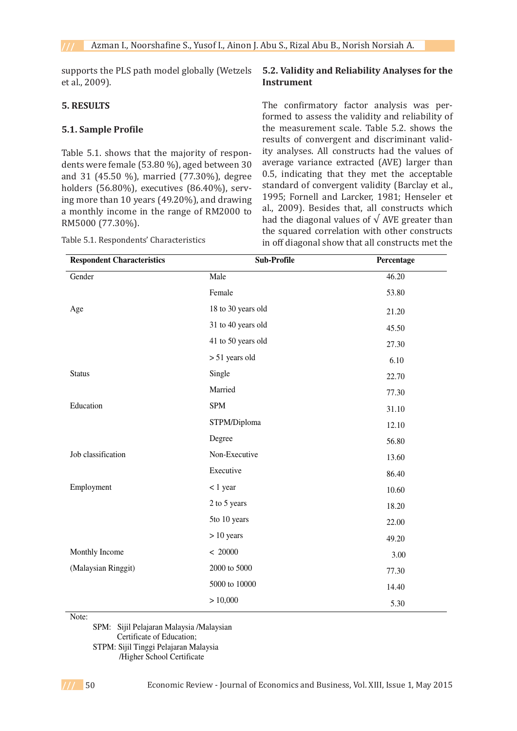supports the PLS path model globally (Wetzels et al., 2009).

# **5. RESULTS**

# **5.1. Sample Profile**

Table 5.1. shows that the majority of respondents were female (53.80 %), aged between 30 **5.1. Sample Profile**  and 31 (45.50 %), married (77.30%), degree holders (56.80%), executives (86.40%), serv-<br>1905, Esseul and Lead between 3004 Hardward between 3004 Hardward ing more than 10 years (49.20%), and drawing  $\frac{1993}{2000}$ , Foller and Larcker, 1961; henself a monthly income in the range of RM2000 to  $\frac{di}{dx}$ , 2009). Desides that, an constructs w RM5000 (77.30%). RM5000 (77.30%).

| <b>Respondent Characteristics</b> | Sub-Profile        | Percentage |
|-----------------------------------|--------------------|------------|
| Gender                            | Male               | 46.20      |
|                                   | Female             | 53.80      |
| Age                               | 18 to 30 years old | 21.20      |
|                                   | 31 to 40 years old | 45.50      |
|                                   | 41 to 50 years old | 27.30      |
|                                   | > 51 years old     | 6.10       |
| <b>Status</b>                     | Single             | 22.70      |
|                                   | Married            | 77.30      |
| Education                         | <b>SPM</b>         | 31.10      |
|                                   | STPM/Diploma       | 12.10      |
|                                   | Degree             | 56.80      |
| Job classification                | Non-Executive      | 13.60      |
|                                   | Executive          | 86.40      |
| Employment                        | $< 1$ year         | 10.60      |
|                                   | 2 to 5 years       | 18.20      |
|                                   | 5to 10 years       | 22.00      |
|                                   | $> 10$ years       | 49.20      |
| Monthly Income                    | < 20000            | 3.00       |
| (Malaysian Ringgit)               | 2000 to 5000       | 77.30      |
|                                   | 5000 to 10000      | 14.40      |
|                                   | > 10,000           | 5.30       |

Table 5.1. Respondents' Characteristics

# **5.2. Validity and Reliability Analyses for the Instrument**

The confirmatory factor analysis was performed to assess the validity and reliability of the measurement scale. Table 5.2. shows the results of convergent and discriminant validity analyses. All constructs had the values of average variance extracted (AVE) larger than 0.5, indicating that they met the acceptable standard of convergent validity (Barclay et al., 1995; Fornell and Larcker, 1981; Henseler et al., 2009). Besides that, all constructs which had the diagonal values of  $\sqrt{\text{AVE}}$  greater than the squared correlation with other constructs in off diagonal show that all constructs met the

Note:

 SPM: Sijil Pelajaran Malaysia /Malaysian Certificate of Education;

STPM: Sijil Tinggi Pelajaran Malaysia

/Higher School Certificate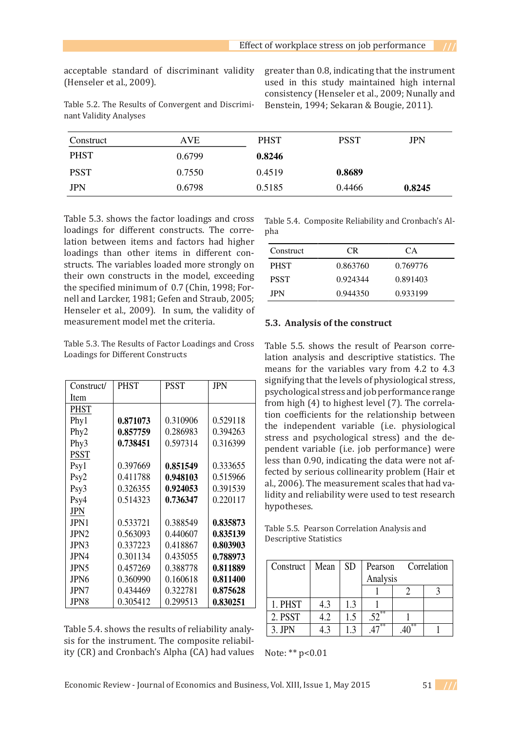(Henseler et al., 2009). (Henseler et al., 2009).

acceptable standard of discriminant validity greater than 0.8, indicating that the instrument Table 5.2. The Results of Convergent and Discrimi- Benstein, 1994; Sekaran & Bougie, 2011). greater than 0.8, indicating that the instrument used in this study maintained high internal consistency (Henseler et al., 2009; Nunally and  $\frac{1}{2}$  consistency (Henseler et al., 2009; Nunally and Benstein, 1994; Sekaran & Bougie, 2011). indicating that they met they met they met the acceptable standard of convergent validity (Barclay et al., 199 Formatic Standard of discriminant validity effects than 0.0, indicating that the instrument<br>Tenseler et al. 2000). Besides the study meintained high internal

| Construct   | AVE    | <b>PHST</b> | <b>PSST</b> | <b>JPN</b> |
|-------------|--------|-------------|-------------|------------|
| <b>PHST</b> | 0.6799 | 0.8246      |             |            |
| <b>PSST</b> | 0.7550 | 0.4519      | 0.8689      |            |
| <b>JPN</b>  | 0.6798 | 0.5185      | 0.4466      | 0.8245     |

nant Validity Analyses<br>
nant Validity Analyses

Table 5.3. shows the factor loadings and cross Table 5.4. Composite Reliability and Cronbach's Alloadings for different constructs. The corre-<br>pha lation between items and factors had higher  $\overline{a}$  and more specified more specified more specified more specified more specified more specified more specified more specified more specified more specified model. The spe loadings than other items in different con-<br>Construct CR CA structs. The variables loaded more strongly on pHST  $0.863760$  0.769776 their own constructs in the model, exceeding the specified minimum of 0.7 (Chin, 1998; Fornell and Larcker, 1981; Gefen and Straub, 2005; Henseler et al., 2009). In sum, the validity of measurement model met the criteria. **Factor Exercise 2 The Exercise 2 The Results of the Construct 5.3. Analysis of the construct** structs. The variables foatied more strongly on  $PHSI$  (1.863/60)

Table 5.4. Composite Reliability and Cronbach's Al-JPN 0.6798 0.5185 0.4466 **0.8245**  Construct CR CA Table 4 &RPSRVLWH5HOLDELOLW\DQG&URQEDFK¶V\$OSKD pha

| tion between items and factors had higher                                                      |             |           |          |
|------------------------------------------------------------------------------------------------|-------------|-----------|----------|
| adings than other items in different con-                                                      | Construct   | <b>CR</b> | CА       |
| ructs. The variables loaded more strongly on                                                   | <b>PHST</b> | 0.863760  | 0.769776 |
| eir own constructs in the model, exceeding                                                     | <b>PSST</b> | 0.924344  | 0.891403 |
| e specified minimum of 0.7 (Chin, 1998; For-<br>ell and Larcker, 1981; Gefen and Straub, 2005; | <b>JPN</b>  | 0.944350  | 0.933199 |
| exactor at al. 2000). In guns the validity of                                                  |             |           |          |

#### Table 5.3. The Results of Factor Loadings and Cross<br>Laadings for Different Constructs Loadings for Different Constructs Extended<br>Total

| Construct/       | <b>PHST</b> | <b>PSST</b> | <b>JPN</b> | signifying that  |   |
|------------------|-------------|-------------|------------|------------------|---|
|                  |             |             |            | psychological s  |   |
| Item             |             |             |            | from high $(4)$  |   |
| <b>PHST</b>      |             |             |            | tion coefficien  |   |
| Phy1             | 0.871073    | 0.310906    | 0.529118   | the independ     |   |
| Phy <sub>2</sub> | 0.857759    | 0.286983    | 0.394263   |                  |   |
| Phy3             | 0.738451    | 0.597314    | 0.316399   | stress and psy   |   |
| PSST             |             |             |            | pendent varia    |   |
| Psy1             | 0.397669    | 0.851549    | 0.333655   | less than 0.90,  |   |
| Psy <sub>2</sub> | 0.411788    | 0.948103    | 0.515966   | fected by serio  |   |
| Psy3             | 0.326355    | 0.924053    | 0.391539   | al., 2006). The  |   |
| Psy4             | 0.514323    | 0.736347    | 0.220117   | lidity and relia |   |
| JPN              |             |             |            | hypotheses.      |   |
| JPN1             | 0.533721    | 0.388549    | 0.835873   | Table 5.5. Pears |   |
| JPN <sub>2</sub> | 0.563093    | 0.440607    | 0.835139   | Descriptive Stat |   |
| JPN3             | 0.337223    | 0.418867    | 0.803903   |                  |   |
| JPN4             | 0.301134    | 0.435055    | 0.788973   |                  |   |
| JPN5             | 0.457269    | 0.388778    | 0.811889   | Construct        | M |
| JPN6             | 0.360990    | 0.160618    | 0.811400   |                  |   |
| JPN7             | 0.434469    | 0.322781    | 0.875628   |                  |   |
| JPN8             | 0.305412    | 0.299513    | 0.830251   | 1. PHST          | 4 |
|                  |             |             |            |                  |   |

sis for the instrument. The composite reliabil-(CR) DQG&URQEDFK¶V\$OSKD(CA) had values greater than 0.8, indicating that the instrument Figure 1 shows the outcomes of testing PLS path model. The inclusion of physiological and Figure 1 shows the outcomes of testing PLS path model. The inclusion of physiological and ity (CR) and Cronbach's Alpha (CA) had values Note: \*\* p<0.01

e Results of Factor Loadings and Cross Table 5.5. shows the result of Pearson correbadings for Different Constructs and analysis and descriptive statistics. The means for the variables vary from 4.2 to 4.3  $\sqrt{\frac{P_{\text{PST}}}{P_{\text{SST}}}$   $\sqrt{\frac{P_{\text{PST}}}{P_{\text{SST}}}$  signifying that the levels of physiological stress,  $\left| \begin{array}{ccc} 1 & 1 & 1 & 3 & 1 \\ 1 & 1 & 3 & 1 \end{array} \right|$  psychological stress and job performance range  $\sim$  from high (4) to highest level (7). The correlation coefficients for the relationship between problem (Hair et al., 2006). The measurement scales that had validity and reliability were problem (Hair et al., 2006). The measurement scales that had validity and reliability were problem (Hair et al., 2006). The measurement scales that had validity and reliability were  $\begin{bmatrix} 0.906 \\ 0.529118 \\ 0.394263 \end{bmatrix}$  the independent variable (i.e. physiological stress and psychological stress) and the dependent variable (i.e. job performance) were less than 0.90, indicating the data were not affected by serious collinearity problem (Hair et al., 2006). The measurement scales that had va- $\mathbf{6347}$  | 0.220117 |  $\mathbf{1}$  lidity and reliability were used to test research hypotheses. means for the variables vary from 4.2 to 4.3

Table 5.5. Pearson Correlation Analysis and  $\begin{array}{c|c} 607 & 0.835139 \\ 0.803003 &$  Descriptive Statistics riperve d  $0.563093$   $\big| 0.440607 \big| 0.835139 \big|$  pescriptive Statistics

| JI 197<br>JPN <sub>5</sub>                         | 0.JUI 1JT<br>0.457269 | 0.TJJUJJ<br>0.388778 | 0.10071J<br>0.811889 | Construct | Mean     | <b>SD</b>  | Correlation<br>Pearson |  |  |
|----------------------------------------------------|-----------------------|----------------------|----------------------|-----------|----------|------------|------------------------|--|--|
| JPN <sub>6</sub><br>JPN7                           | 0.360990<br>0.434469  | 0.160618<br>0.322781 | 0.811400<br>0.875628 |           |          |            | Analysis               |  |  |
| JPN8                                               | 0.305412              | 0.299513             | 0.830251             | . PHST    | 4.3      |            |                        |  |  |
|                                                    |                       |                      |                      | 2. PSST   | 4.2      |            | $5^{\overline{2}}$     |  |  |
| Table 5.4. shows the results of reliability analy- |                       | $3.$ JPN             | 4.3                  |           | $.47***$ | $.40^{**}$ |                        |  |  |

Note: \*\* p<0.01 psychological stress  $A$  percent of the variance in  $p$  percent of the variance in  $p$ lote:  $**$  p<0.01

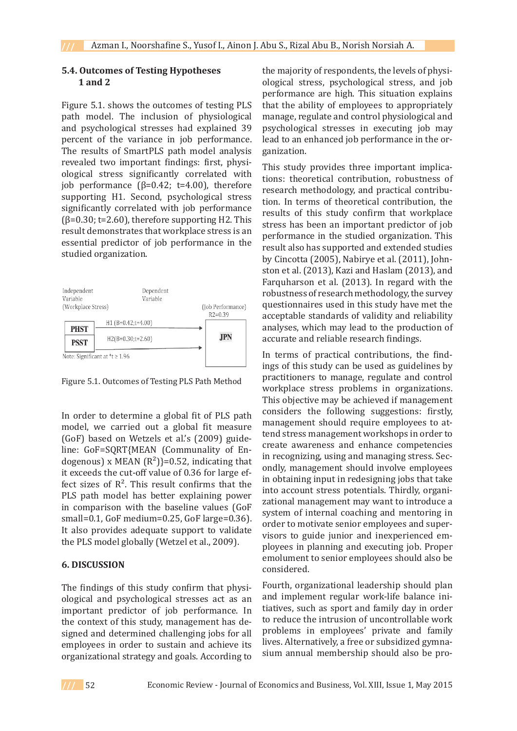# **5.4. Outcomes of Testing Hypotheses 1 and 2**

Figure 5.1. shows the outcomes of testing PLS path model. The inclusion of physiological and psychological stresses had explained 39 percent of the variance in job performance. The results of SmartPLS path model analysis revealed two important findings: first, physiological stress significantly correlated with job performance  $(β=0.42; t=4.00)$ , therefore supporting H1. Second, psychological stress significantly correlated with job performance  $(\beta=0.30; t=2.60)$ , therefore supporting H2. This result demonstrates that workplace stress is an essential predictor of job performance in the studied organization.



Figure 5.1. Outcomes of Testing PLS Path Method

In order to determine a global fit of PLS path model, we carried out a global fit measure (GoF) based on Wetzels et al.'s (2009) guideline: GoF=SQRT{MEAN (Communality of Endogenous) x MEAN  $(R^2)$ }=0.52, indicating that it exceeds the cut-off value of 0.36 for large effect sizes of  $R<sup>2</sup>$ . This result confirms that the PLS path model has better explaining power in comparison with the baseline values (GoF small=0.1, GoF medium=0.25, GoF large=0.36). It also provides adequate support to validate the PLS model globally (Wetzel et al., 2009).

# **6. DISCUSSION**

The findings of this study confirm that physiological and psychological stresses act as an important predictor of job performance. In the context of this study, management has designed and determined challenging jobs for all employees in order to sustain and achieve its organizational strategy and goals. According to the majority of respondents, the levels of physiological stress, psychological stress, and job performance are high. This situation explains that the ability of employees to appropriately manage, regulate and control physiological and psychological stresses in executing job may lead to an enhanced job performance in the organization.

This study provides three important implications: theoretical contribution, robustness of research methodology, and practical contribution. In terms of theoretical contribution, the results of this study confirm that workplace stress has been an important predictor of job performance in the studied organization. This result also has supported and extended studies by Cincotta (2005), Nabirye et al. (2011), Johnston et al. (2013), Kazi and Haslam (2013), and Farquharson et al. (2013). In regard with the robustness of research methodology, the survey questionnaires used in this study have met the acceptable standards of validity and reliability analyses, which may lead to the production of accurate and reliable research findings.

In terms of practical contributions, the findings of this study can be used as guidelines by practitioners to manage, regulate and control workplace stress problems in organizations. This objective may be achieved if management considers the following suggestions: firstly, management should require employees to attend stress management workshops in order to create awareness and enhance competencies in recognizing, using and managing stress. Secondly, management should involve employees in obtaining input in redesigning jobs that take into account stress potentials. Thirdly, organizational management may want to introduce a system of internal coaching and mentoring in order to motivate senior employees and supervisors to guide junior and inexperienced employees in planning and executing job. Proper emolument to senior employees should also be considered.

Fourth, organizational leadership should plan and implement regular work-life balance initiatives, such as sport and family day in order to reduce the intrusion of uncontrollable work problems in employees' private and family lives. Alternatively, a free or subsidized gymnasium annual membership should also be pro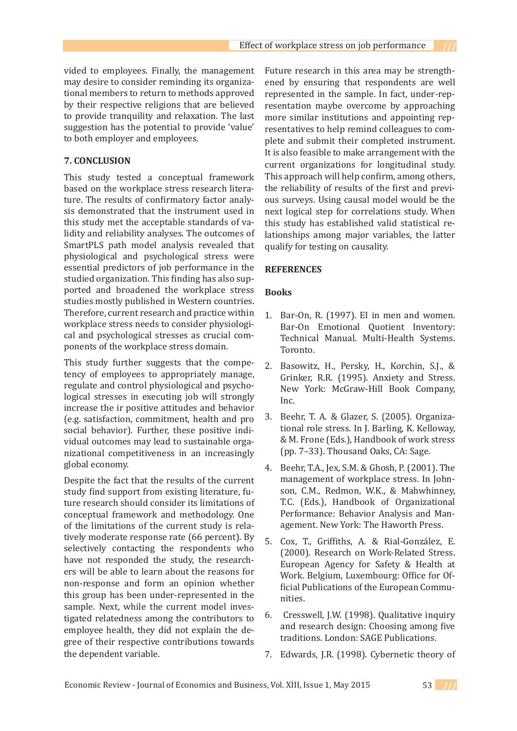vided to employees. Finally, the management may desire to consider reminding its organizational members to return to methods approved by their respective religions that are believed to provide tranquility and relaxation. The last suggestion has the potential to provide 'value' to both employer and employees.

#### **7. CONCLUSION**

This study tested a conceptual framework based on the workplace stress research literature. The results of confirmatory factor analysis demonstrated that the instrument used in this study met the acceptable standards of validity and reliability analyses. The outcomes of SmartPLS path model analysis revealed that physiological and psychological stress were essential predictors of job performance in the studied organization. This finding has also supported and broadened the workplace stress studies mostly published in Western countries. Therefore, current research and practice within workplace stress needs to consider physiological and psychological stresses as crucial components of the workplace stress domain.

This study further suggests that the competency of employees to appropriately manage, regulate and control physiological and psychological stresses in executing job will strongly increase the ir positive attitudes and behavior (e.g. satisfaction, commitment, health and pro social behavior). Further, these positive individual outcomes may lead to sustainable organizational competitiveness in an increasingly global economy.

Despite the fact that the results of the current study find support from existing literature, future research should consider its limitations of conceptual framework and methodology. One of the limitations of the current study is relatively moderate response rate (66 percent). By selectively contacting the respondents who have not responded the study, the researchers will be able to learn about the reasons for non-response and form an opinion whether this group has been under-represented in the sample. Next, while the current model investigated relatedness among the contributors to employee health, they did not explain the degree of their respective contributions towards the dependent variable.

Future research in this area may be strengthened by ensuring that respondents are well represented in the sample. In fact, under-representation maybe overcome by approaching more similar institutions and appointing representatives to help remind colleagues to complete and submit their completed instrument. It is also feasible to make arrangement with the current organizations for longitudinal study. This approach will help confirm, among others, the reliability of results of the first and previous surveys. Using causal model would be the next logical step for correlations study. When this study has established valid statistical relationships among major variables, the latter qualify for testing on causality.

#### **REFERENCES**

#### **Books**

- 1. Bar-On, R.  $(1997)$ . El in men and women. Bar-On Emotional Quotient Inventory: Technical Manual. Multi-Health Systems. Toronto.
- Basowitz, H., Persky, H., Korchin, S.J., & Grinker, R.R. (1995). Anxiety and Stress. New York: McGraw-Hill Book Company, Inc. 2.
- Beehr, T. A. & Glazer, S. (2005). Organizational role stress. In J. Barling, K. Kelloway, & M. Frone (Eds.), Handbook of work stress (pp. 7–33). Thousand Oaks, CA: Sage. 3.
- Beehr, T.A., Jex, S.M. & Ghosh, P. (2001). The management of workplace stress. In Johnson, C.M., Redmon, W.K., & Mahwhinney, T.C. (Eds.), Handbook of Organizational Performance: Behavior Analysis and Management. New York: The Haworth Press. 4.
- Cox, T., Griffiths, A. & Rial-González, E. (2000). Research on Work-Related Stress. European Agency for Safety & Health at Work. Belgium, Luxembourg: Office for Official Publications of the European Communities. 5.
- Cresswell, J.W. (1998). Qualitative inquiry and research design: Choosing among five traditions. London: SAGE Publications. 6.
- 7. Edwards, J.R. (1998). Cybernetic theory of

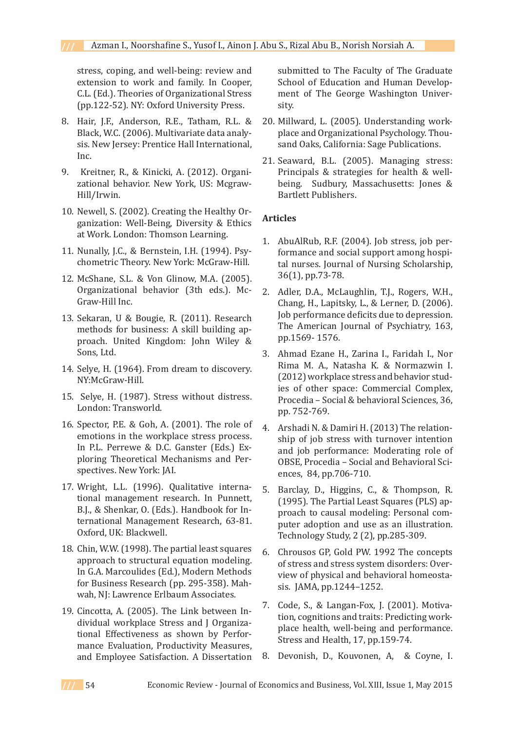stress, coping, and well-being: review and extension to work and family. In Cooper, C.L. (Ed.). Theories of Organizational Stress (pp.122-52). NY: Oxford University Press.

- Hair, J.F., Anderson, R.E., Tatham, R.L. & 8. Black, W.C. (2006). Multivariate data analysis. New Jersey: Prentice Hall International, Inc.
- 9. Kreitner, R., & Kinicki, A. (2012). Organizational behavior. New York, US: Mcgraw-Hill/Irwin.
- 10. Newell, S. (2002). Creating the Healthy Organization: Well-Being, Diversity & Ethics at Work. London: Thomson Learning.
- 11. Nunally, J.C., & Bernstein, I.H. (1994). Psychometric Theory. New York: McGraw-Hill.
- 12. McShane, S.L. & Von Glinow, M.A. (2005). Organizational behavior (3th eds.). Mc-Graw-Hill Inc.
- 13. Sekaran, U & Bougie, R. (2011). Research methods for business: A skill building approach. United Kingdom: John Wiley & Sons, Ltd.
- 14. Selye, H. (1964). From dream to discovery. NY:McGraw-Hill.
- 15. Selye, H. (1987). Stress without distress. London: Transworld.
- $16.$  Spector, P.E. & Goh, A.  $(2001)$ . The role of emotions in the workplace stress process. In P.L. Perrewe & D.C. Ganster (Eds.) Exploring Theoretical Mechanisms and Perspectives. New York: JAI.
- Wright, L.L. (1996). Qualitative interna-17. tional management research. In Punnett, B.J., & Shenkar, O. (Eds.). Handbook for International Management Research, 63-81. Oxford, UK: Blackwell.
- 18. Chin, W.W. (1998). The partial least squares approach to structural equation modeling. In G.A. Marcoulides (Ed.), Modern Methods for Business Research (pp. 295-358). Mahwah, NJ: Lawrence Erlbaum Associates.
- 19. Cincotta, A. (2005). The Link between Individual workplace Stress and J Organizational Effectiveness as shown by Performance Evaluation, Productivity Measures, and Employee Satisfaction. A Dissertation

submitted to The Faculty of The Graduate School of Education and Human Development of The George Washington University.

- 20. Millward, L. (2005). Understanding workplace and Organizational Psychology. Thousand Oaks, California: Sage Publications.
- 21. Seaward, B.L. (2005). Managing stress: Principals & strategies for health & wellbeing. Sudbury, Massachusetts: Jones & Bartlett Publishers.

# **Articles**

- AbuAlRub, R.F. (2004). Job stress, job per-1. formance and social support among hospital nurses. Journal of Nursing Scholarship, 36(1), pp.73-78.
- 2. Adler, D.A., McLaughlin, T.J., Rogers, W.H., Chang, H., Lapitsky, L., & Lerner, D. (2006). Job performance deficits due to depression. The American Journal of Psychiatry, 163, pp.1569- 1576.
- Ahmad Ezane H., Zarina I., Faridah I., Nor 3. Rima M. A., Natasha K. & Normazwin I. (2012) workplace stress and behavior studies of other space: Commercial Complex, Procedia – Social & behavioral Sciences, 36, pp. 752-769.
- Arshadi N. & Damiri H. (2013) The relation-4. ship of job stress with turnover intention and job performance: Moderating role of OBSE, Procedia – Social and Behavioral Sciences, 84, pp.706-710.
- Barclay, D., Higgins, C., & Thompson, R. (1995). The Partial Least Squares (PLS) approach to causal modeling: Personal computer adoption and use as an illustration. Technology Study, 2 (2), pp.285-309. 5.
- Chrousos GP, Gold PW. 1992 The concepts 6. of stress and stress system disorders: Overview of physical and behavioral homeostasis. JAMA, pp.1244–1252.
- 7. Code, S., & Langan-Fox, J. (2001). Motivation, cognitions and traits: Predicting workplace health, well-being and performance. Stress and Health, 17, pp.159-74.
- 8. Devonish, D., Kouvonen, A, & Coyne, I.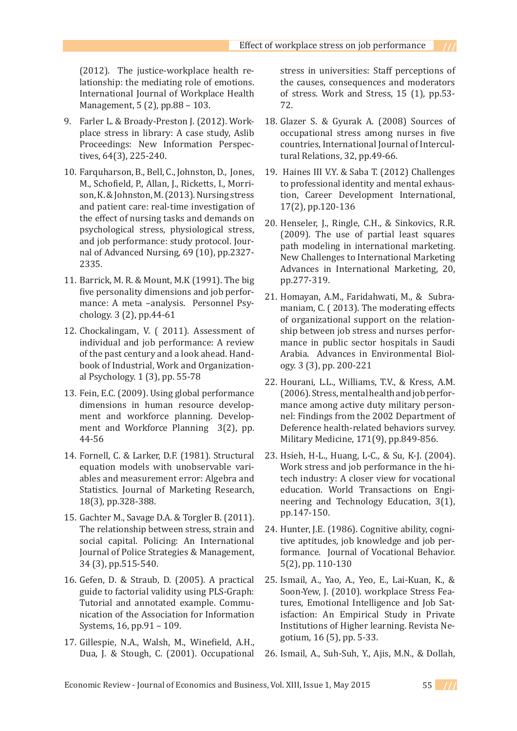(2012). The justice-workplace health relationship: the mediating role of emotions. International Journal of Workplace Health Management, 5 (2), pp.88 – 103.

- Farler L. & Broady-Preston J. (2012). Work-9. place stress in library: A case study, Aslib Proceedings: New Information Perspectives, 64(3), 225-240.
- 10. Farquharson, B., Bell, C., Johnston, D., Jones, M., Schofield, P., Allan, J., Ricketts, I., Morrison, K. & Johnston, M. (2013). Nursing stress and patient care: real-time investigation of the effect of nursing tasks and demands on psychological stress, physiological stress, and job performance: study protocol. Journal of Advanced Nursing, 69 (10), pp.2327- 2335.
- 11. Barrick, M. R. & Mount, M.K (1991). The big five personality dimensions and job performance: A meta –analysis. Personnel Psychology. 3 (2), pp.44-61
- 12. Chockalingam, V. (2011). Assessment of individual and job performance: A review of the past century and a look ahead. Handbook of Industrial, Work and Organizational Psychology. 1 (3), pp. 55-78
- 13. Fein, E.C. (2009). Using global performance dimensions in human resource development and workforce planning. Development and Workforce Planning 3(2), pp. 44-56
- 14. Fornell, C. & Larker, D.F. (1981). Structural equation models with unobservable variables and measurement error: Algebra and Statistics. Journal of Marketing Research, 18(3), pp.328-388.
- 15. Gachter M., Savage D.A. & Torgler B. (2011). The relationship between stress, strain and social capital. Policing: An International Journal of Police Strategies & Management, 34 (3), pp.515-540.
- 16. Gefen, D. & Straub, D. (2005). A practical guide to factorial validity using PLS-Graph: Tutorial and annotated example. Communication of the Association for Information Systems, 16, pp.91 – 109.
- Gillespie, N.A., Walsh, M., Winefield, A.H., 17. Dua, J. & Stough, C. (2001). Occupational

stress in universities: Staff perceptions of the causes, consequences and moderators of stress. Work and Stress, 15 (1), pp.53- 72.

- Glazer S. & Gyurak A. (2008) Sources of 18. occupational stress among nurses in five countries, International Journal of Intercultural Relations, 32, pp.49-66.
- 19. Haines III V.Y. & Saba T. (2012) Challenges to professional identity and mental exhaustion, Career Development International, 17(2), pp.120-136
- 20. Henseler, J., Ringle, C.H., & Sinkovics, R.R. (2009). The use of partial least squares path modeling in international marketing. New Challenges to International Marketing Advances in International Marketing, 20, pp.277-319.
- 21. Homayan, A.M., Faridahwati, M., & Subramaniam, C. ( 2013). The moderating effects of organizational support on the relationship between job stress and nurses performance in public sector hospitals in Saudi Arabia. Advances in Environmental Biology. 3 (3), pp. 200-221
- 22. Hourani, L.L., Williams, T.V., & Kress, A.M. (2006). Stress, mental health and job performance among active duty military personnel: Findings from the 2002 Department of Deference health-related behaviors survey. Military Medicine, 171(9), pp.849-856.
- 23. Hsieh, H-L., Huang, L-C., & Su, K-J. (2004). Work stress and job performance in the hitech industry: A closer view for vocational education. World Transactions on Engineering and Technology Education, 3(1), pp.147-150.
- 24. Hunter, J.E. (1986). Cognitive ability, cognitive aptitudes, job knowledge and job performance. Journal of Vocational Behavior. 5(2), pp. 110-130
- 25. Ismail, A., Yao, A., Yeo, E., Lai-Kuan, K., & Soon-Yew, J. (2010). workplace Stress Features, Emotional Intelligence and Job Satisfaction: An Empirical Study in Private Institutions of Higher learning. Revista Negotium, 16 (5), pp. 5-33.
- 26. Ismail, A., Suh-Suh, Y., Ajis, M.N., & Dollah,

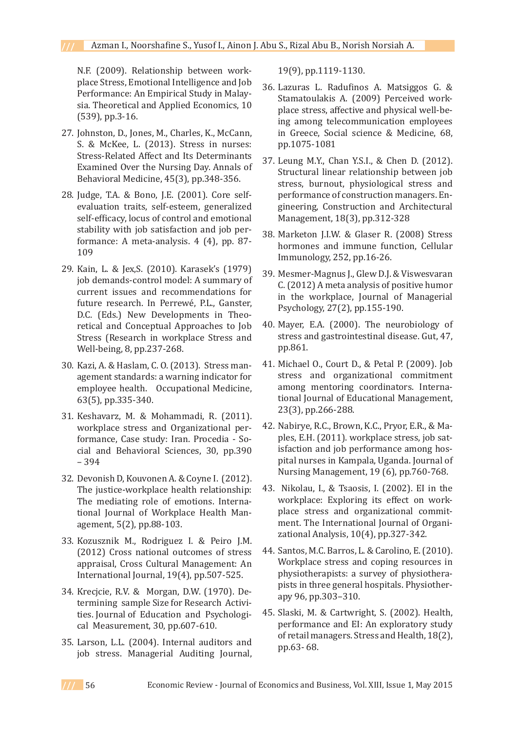N.F. (2009). Relationship between workplace Stress, Emotional Intelligence and Job Performance: An Empirical Study in Malaysia. Theoretical and Applied Economics, 10 (539), pp.3-16.

- 27. Johnston, D., Jones, M., Charles, K., McCann, S. & McKee, L. (2013). Stress in nurses: Stress-Related Affect and Its Determinants Examined Over the Nursing Day. Annals of Behavioral Medicine, 45(3), pp.348-356.
- 28. Judge, T.A. & Bono, J.E. (2001). Core selfevaluation traits, self-esteem, generalized self-efficacy, locus of control and emotional stability with job satisfaction and job performance: A meta-analysis. 4 (4), pp. 87- 109
- 29. Kain, L. & Jex,S. (2010). Karasek's (1979) job demands-control model: A summary of current issues and recommendations for future research. In Perrewé, P.L., Ganster, D.C. (Eds.) New Developments in Theoretical and Conceptual Approaches to Job Stress (Research in workplace Stress and Well-being, 8, pp.237-268.
- 30. Kazi, A. & Haslam, C. O. (2013). Stress management standards: a warning indicator for employee health. Occupational Medicine, 63(5), pp.335-340.
- 31. Keshavarz, M. & Mohammadi, R. (2011). workplace stress and Organizational performance, Case study: Iran. Procedia - Social and Behavioral Sciences, 30, pp.390 – 394
- 32. Devonish D, Kouvonen A. & Coyne I. (2012). The justice-workplace health relationship: The mediating role of emotions. International Journal of Workplace Health Management, 5(2), pp.88-103.
- 33. Kozusznik M., Rodriguez I. & Peiro J.M. (2012) Cross national outcomes of stress appraisal, Cross Cultural Management: An International Journal, 19(4), pp.507-525.
- 34. Krecjcie, R.V. & Morgan, D.W. (1970). Determining sample Size for Research Activities. Journal of Education and Psychological Measurement, 30, pp.607-610.
- 35. Larson, L.L. (2004). Internal auditors and job stress. Managerial Auditing Journal,

19(9), pp.1119-1130.

- Lazuras L. Radufinos A. Matsiggos G. & 36. Stamatoulakis A. (2009) Perceived workplace stress, affective and physical well-being among telecommunication employees in Greece, Social science & Medicine, 68, pp.1075-1081
- Leung M.Y., Chan Y.S.I., & Chen D. (2012). 37. Structural linear relationship between job stress, burnout, physiological stress and performance of construction managers. Engineering, Construction and Architectural Management, 18(3), pp.312-328
- Marketon J.I.W. & Glaser R. (2008) Stress 38. hormones and immune function, Cellular Immunology, 252, pp.16-26.
- 39. Mesmer-Magnus J., Glew D.J. & Viswesvaran C. (2012) A meta analysis of positive humor in the workplace, Journal of Managerial Psychology, 27(2), pp.155-190.
- Mayer, E.A. (2000). The neurobiology of 40. stress and gastrointestinal disease. Gut, 47, pp.861.
- Michael O., Court D., & Petal P. (2009). Job 41. stress and organizational commitment among mentoring coordinators. International Journal of Educational Management, 23(3), pp.266-288.
- 42. Nabirye, R.C., Brown, K.C., Pryor, E.R., & Maples, E.H. (2011). workplace stress, job satisfaction and job performance among hospital nurses in Kampala, Uganda. Journal of Nursing Management, 19 (6), pp.760-768.
- 43. Nikolau, I., & Tsaosis, I. (2002). El in the workplace: Exploring its effect on workplace stress and organizational commitment. The International Journal of Organizational Analysis, 10(4), pp.327-342.
- 44. Santos, M.C. Barros, L. & Carolino, E. (2010). Workplace stress and coping resources in physiotherapists: a survey of physiotherapists in three general hospitals. Physiotherapy 96, pp.303–310.
- 45. Slaski, M. & Cartwright, S. (2002). Health, performance and EI: An exploratory study of retail managers. Stress and Health, 18(2), pp.63- 68.